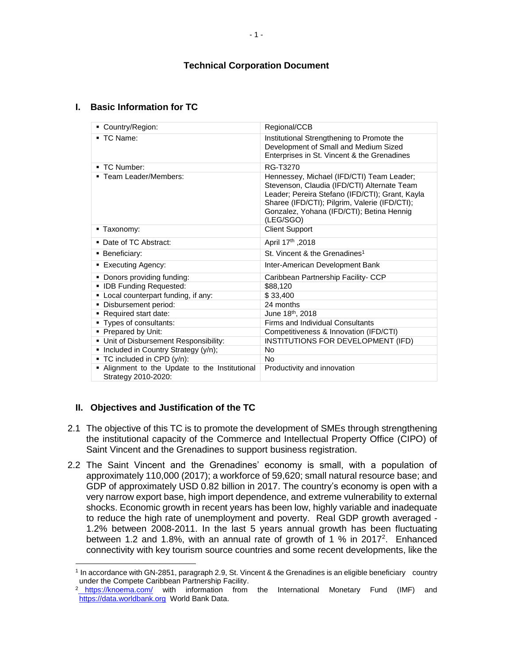# **I. Basic Information for TC**

| ■ Country/Region:                                                   | Regional/CCB                                                                                                                                                                                                                                           |  |  |
|---------------------------------------------------------------------|--------------------------------------------------------------------------------------------------------------------------------------------------------------------------------------------------------------------------------------------------------|--|--|
| $\blacksquare$ TC Name:                                             | Institutional Strengthening to Promote the<br>Development of Small and Medium Sized<br>Enterprises in St. Vincent & the Grenadines                                                                                                                     |  |  |
| - TC Number:                                                        | RG-T3270                                                                                                                                                                                                                                               |  |  |
| ■ Team Leader/Members:                                              | Hennessey, Michael (IFD/CTI) Team Leader;<br>Stevenson, Claudia (IFD/CTI) Alternate Team<br>Leader; Pereira Stefano (IFD/CTI); Grant, Kayla<br>Sharee (IFD/CTI); Pilgrim, Valerie (IFD/CTI);<br>Gonzalez, Yohana (IFD/CTI); Betina Hennig<br>(LEG/SGO) |  |  |
| ■ Taxonomy:                                                         | <b>Client Support</b>                                                                                                                                                                                                                                  |  |  |
| • Date of TC Abstract:                                              | April 17th , 2018                                                                                                                                                                                                                                      |  |  |
| • Beneficiary:                                                      | St. Vincent & the Grenadines <sup>1</sup>                                                                                                                                                                                                              |  |  |
| ■ Executing Agency:                                                 | Inter-American Development Bank                                                                                                                                                                                                                        |  |  |
| Donors providing funding:                                           | Caribbean Partnership Facility- CCP                                                                                                                                                                                                                    |  |  |
| <b>IDB Funding Requested:</b>                                       | \$88,120                                                                                                                                                                                                                                               |  |  |
| Local counterpart funding, if any:                                  | \$33,400                                                                                                                                                                                                                                               |  |  |
| Disbursement period:                                                | 24 months                                                                                                                                                                                                                                              |  |  |
| Required start date:                                                | June 18 <sup>th</sup> , 2018                                                                                                                                                                                                                           |  |  |
| Types of consultants:                                               | <b>Firms and Individual Consultants</b>                                                                                                                                                                                                                |  |  |
| • Prepared by Unit:                                                 | Competitiveness & Innovation (IFD/CTI)                                                                                                                                                                                                                 |  |  |
| • Unit of Disbursement Responsibility:                              | INSTITUTIONS FOR DEVELOPMENT (IFD)                                                                                                                                                                                                                     |  |  |
| Included in Country Strategy (y/n);<br>٠                            | <b>No</b>                                                                                                                                                                                                                                              |  |  |
| TC included in CPD (y/n):                                           | No                                                                                                                                                                                                                                                     |  |  |
| Alignment to the Update to the Institutional<br>Strategy 2010-2020: | Productivity and innovation                                                                                                                                                                                                                            |  |  |

# **II. Objectives and Justification of the TC**

- 2.1 The objective of this TC is to promote the development of SMEs through strengthening the institutional capacity of the Commerce and Intellectual Property Office (CIPO) of Saint Vincent and the Grenadines to support business registration.
- 2.2 The Saint Vincent and the Grenadines' economy is small, with a population of approximately 110,000 (2017); a workforce of 59,620; small natural resource base; and GDP of approximately USD 0.82 billion in 2017. The country's economy is open with a very narrow export base, high import dependence, and extreme vulnerability to external shocks. Economic growth in recent years has been low, highly variable and inadequate to reduce the high rate of unemployment and poverty. Real GDP growth averaged - 1.2% between 2008-2011. In the last 5 years annual growth has been fluctuating between 1.2 and 1.8%, with an annual rate of growth of 1 % in 2017<sup>2</sup>. Enhanced connectivity with key tourism source countries and some recent developments, like the

 $\overline{a}$ <sup>1</sup> In accordance with GN-2851, paragraph 2.9, St. Vincent & the Grenadines is an eligible beneficiary country under the Compete Caribbean Partnership Facility.

<sup>&</sup>lt;sup>2</sup> <https://knoema.com/> with information from the International Monetary Fund (IMF) and [https://data.worldbank.org](https://data.worldbank.org/) World Bank Data.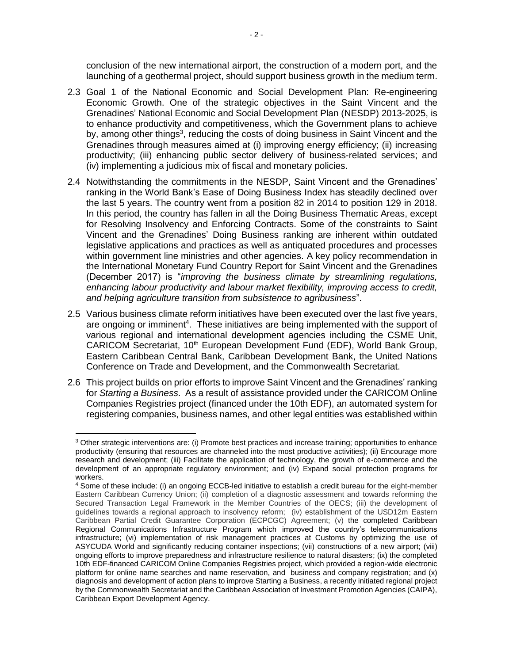conclusion of the new international airport, the construction of a modern port, and the launching of a geothermal project, should support business growth in the medium term.

- 2.3 Goal 1 of the National Economic and Social Development Plan: Re-engineering Economic Growth. One of the strategic objectives in the Saint Vincent and the Grenadines' National Economic and Social Development Plan (NESDP) 2013-2025, is to enhance productivity and competitiveness, which the Government plans to achieve by, among other things<sup>3</sup>, reducing the costs of doing business in Saint Vincent and the Grenadines through measures aimed at (i) improving energy efficiency; (ii) increasing productivity; (iii) enhancing public sector delivery of business-related services; and (iv) implementing a judicious mix of fiscal and monetary policies.
- 2.4 Notwithstanding the commitments in the NESDP, Saint Vincent and the Grenadines' ranking in the World Bank's Ease of Doing Business Index has steadily declined over the last 5 years. The country went from a position 82 in 2014 to position 129 in 2018. In this period, the country has fallen in all the Doing Business Thematic Areas, except for Resolving Insolvency and Enforcing Contracts. Some of the constraints to Saint Vincent and the Grenadines' Doing Business ranking are inherent within outdated legislative applications and practices as well as antiquated procedures and processes within government line ministries and other agencies. A key policy recommendation in the International Monetary Fund Country Report for Saint Vincent and the Grenadines (December 2017) is "*improving the business climate by streamlining regulations, enhancing labour productivity and labour market flexibility, improving access to credit, and helping agriculture transition from subsistence to agribusiness*".
- 2.5 Various business climate reform initiatives have been executed over the last five years, are ongoing or imminent<sup>4</sup>. These initiatives are being implemented with the support of various regional and international development agencies including the CSME Unit, CARICOM Secretariat, 10<sup>th</sup> European Development Fund (EDF), World Bank Group, Eastern Caribbean Central Bank, Caribbean Development Bank, the United Nations Conference on Trade and Development, and the Commonwealth Secretariat.
- 2.6 This project builds on prior efforts to improve Saint Vincent and the Grenadines' ranking for *Starting a Business*. As a result of assistance provided under the CARICOM Online Companies Registries project (financed under the 10th EDF), an automated system for registering companies, business names, and other legal entities was established within

 $\overline{a}$ 

 $3$  Other strategic interventions are: (i) Promote best practices and increase training; opportunities to enhance productivity (ensuring that resources are channeled into the most productive activities); (ii) Encourage more research and development; (iii) Facilitate the application of technology, the growth of e-commerce and the development of an appropriate regulatory environment; and (iv) Expand social protection programs for workers.

<sup>4</sup> Some of these include: (i) an ongoing ECCB-led initiative to establish a credit bureau for the eight-member Eastern Caribbean Currency Union; (ii) completion of a diagnostic assessment and towards reforming the Secured Transaction Legal Framework in the Member Countries of the OECS; (iii) the development of guidelines towards a regional approach to insolvency reform; (iv) establishment of the USD12m Eastern Caribbean Partial Credit Guarantee Corporation (ECPCGC) Agreement; (v) the completed Caribbean Regional Communications Infrastructure Program which improved the country's telecommunications infrastructure; (vi) implementation of risk management practices at Customs by optimizing the use of ASYCUDA World and significantly reducing container inspections; (vii) constructions of a new airport; (viii) ongoing efforts to improve preparedness and infrastructure resilience to natural disasters; (ix) the completed 10th EDF-financed CARICOM Online Companies Registries project, which provided a region-wide electronic platform for online name searches and name reservation, and business and company registration; and (x) diagnosis and development of action plans to improve Starting a Business, a recently initiated regional project by the Commonwealth Secretariat and the Caribbean Association of Investment Promotion Agencies (CAIPA), Caribbean Export Development Agency.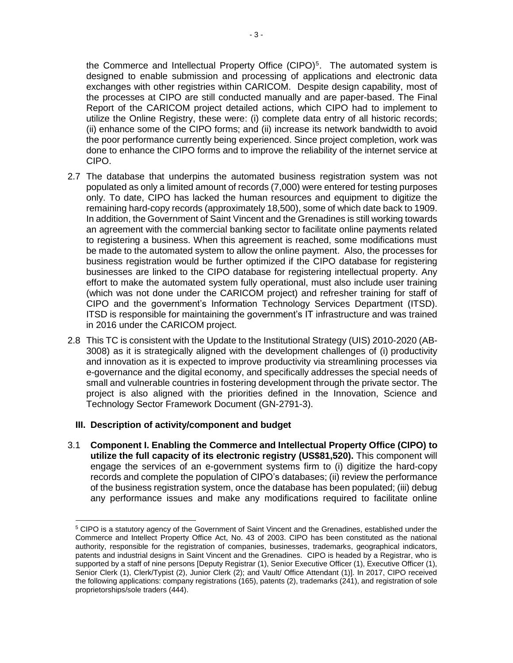the Commerce and Intellectual Property Office  $(CIPO)^5$ . The automated system is designed to enable submission and processing of applications and electronic data exchanges with other registries within CARICOM. Despite design capability, most of the processes at CIPO are still conducted manually and are paper-based. The Final Report of the CARICOM project detailed actions, which CIPO had to implement to utilize the Online Registry, these were: (i) complete data entry of all historic records; (ii) enhance some of the CIPO forms; and (ii) increase its network bandwidth to avoid the poor performance currently being experienced. Since project completion, work was done to enhance the CIPO forms and to improve the reliability of the internet service at CIPO.

- 2.7 The database that underpins the automated business registration system was not populated as only a limited amount of records (7,000) were entered for testing purposes only. To date, CIPO has lacked the human resources and equipment to digitize the remaining hard-copy records (approximately 18,500), some of which date back to 1909. In addition, the Government of Saint Vincent and the Grenadines is still working towards an agreement with the commercial banking sector to facilitate online payments related to registering a business. When this agreement is reached, some modifications must be made to the automated system to allow the online payment. Also, the processes for business registration would be further optimized if the CIPO database for registering businesses are linked to the CIPO database for registering intellectual property. Any effort to make the automated system fully operational, must also include user training (which was not done under the CARICOM project) and refresher training for staff of CIPO and the government's Information Technology Services Department (ITSD). ITSD is responsible for maintaining the government's IT infrastructure and was trained in 2016 under the CARICOM project.
- 2.8 This TC is consistent with the Update to the Institutional Strategy (UIS) 2010-2020 (AB-3008) as it is strategically aligned with the development challenges of (i) productivity and innovation as it is expected to improve productivity via streamlining processes via e-governance and the digital economy, and specifically addresses the special needs of small and vulnerable countries in fostering development through the private sector. The project is also aligned with the priorities defined in the Innovation, Science and Technology Sector Framework Document (GN-2791-3).

# **III. Description of activity/component and budget**

l

3.1 **Component I. Enabling the Commerce and Intellectual Property Office (CIPO) to utilize the full capacity of its electronic registry (US\$81,520).** This component will engage the services of an e-government systems firm to (i) digitize the hard-copy records and complete the population of CIPO's databases; (ii) review the performance of the business registration system, once the database has been populated; (iii) debug any performance issues and make any modifications required to facilitate online

<sup>5</sup> CIPO is a statutory agency of the Government of Saint Vincent and the Grenadines, established under the Commerce and Intellect Property Office Act, No. 43 of 2003. CIPO has been constituted as the national authority, responsible for the registration of companies, businesses, trademarks, geographical indicators, patents and industrial designs in Saint Vincent and the Grenadines. CIPO is headed by a Registrar, who is supported by a staff of nine persons [Deputy Registrar (1), Senior Executive Officer (1), Executive Officer (1), Senior Clerk (1), Clerk/Typist (2), Junior Clerk (2); and Vault/ Office Attendant (1)]. In 2017, CIPO received the following applications: company registrations (165), patents (2), trademarks (241), and registration of sole proprietorships/sole traders (444).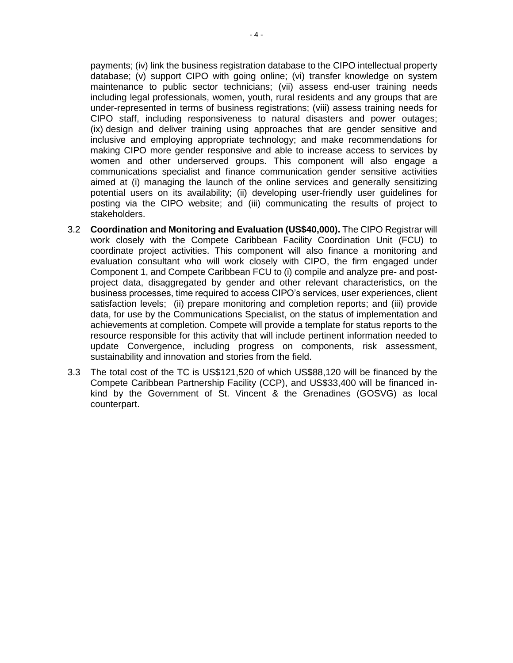payments; (iv) link the business registration database to the CIPO intellectual property database; (v) support CIPO with going online; (vi) transfer knowledge on system maintenance to public sector technicians; (vii) assess end-user training needs including legal professionals, women, youth, rural residents and any groups that are under-represented in terms of business registrations; (viii) assess training needs for CIPO staff, including responsiveness to natural disasters and power outages; (ix) design and deliver training using approaches that are gender sensitive and inclusive and employing appropriate technology; and make recommendations for making CIPO more gender responsive and able to increase access to services by women and other underserved groups. This component will also engage a communications specialist and finance communication gender sensitive activities aimed at (i) managing the launch of the online services and generally sensitizing potential users on its availability; (ii) developing user-friendly user guidelines for posting via the CIPO website; and (iii) communicating the results of project to stakeholders.

- 3.2 **Coordination and Monitoring and Evaluation (US\$40,000).** The CIPO Registrar will work closely with the Compete Caribbean Facility Coordination Unit (FCU) to coordinate project activities. This component will also finance a monitoring and evaluation consultant who will work closely with CIPO, the firm engaged under Component 1, and Compete Caribbean FCU to (i) compile and analyze pre- and postproject data, disaggregated by gender and other relevant characteristics, on the business processes, time required to access CIPO's services, user experiences, client satisfaction levels; (ii) prepare monitoring and completion reports; and (iii) provide data, for use by the Communications Specialist, on the status of implementation and achievements at completion. Compete will provide a template for status reports to the resource responsible for this activity that will include pertinent information needed to update Convergence, including progress on components, risk assessment, sustainability and innovation and stories from the field.
- 3.3 The total cost of the TC is US\$121,520 of which US\$88,120 will be financed by the Compete Caribbean Partnership Facility (CCP), and US\$33,400 will be financed inkind by the Government of St. Vincent & the Grenadines (GOSVG) as local counterpart.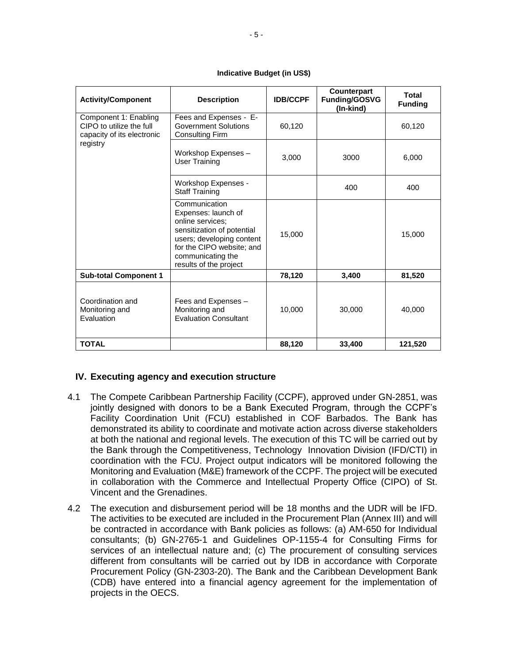#### **Indicative Budget (in US\$)**

| <b>Activity/Component</b>                                                                   | <b>Description</b>                                                                                                                                                                              | <b>IDB/CCPF</b> | <b>Counterpart</b><br>Funding/GOSVG<br>(In-kind) | Total<br><b>Funding</b> |
|---------------------------------------------------------------------------------------------|-------------------------------------------------------------------------------------------------------------------------------------------------------------------------------------------------|-----------------|--------------------------------------------------|-------------------------|
| Component 1: Enabling<br>CIPO to utilize the full<br>capacity of its electronic<br>registry | Fees and Expenses - E-<br><b>Government Solutions</b><br><b>Consulting Firm</b>                                                                                                                 | 60,120          |                                                  | 60,120                  |
|                                                                                             | Workshop Expenses -<br>User Training                                                                                                                                                            | 3,000           | 3000                                             | 6,000                   |
|                                                                                             | Workshop Expenses -<br><b>Staff Training</b>                                                                                                                                                    |                 | 400                                              | 400                     |
|                                                                                             | Communication<br>Expenses: launch of<br>online services:<br>sensitization of potential<br>users; developing content<br>for the CIPO website; and<br>communicating the<br>results of the project | 15,000          |                                                  | 15,000                  |
| <b>Sub-total Component 1</b>                                                                |                                                                                                                                                                                                 | 78,120          | 3,400                                            | 81,520                  |
| Coordination and<br>Monitoring and<br>Evaluation                                            | Fees and Expenses -<br>Monitoring and<br><b>Evaluation Consultant</b>                                                                                                                           | 10,000          | 30,000                                           | 40,000                  |
| <b>TOTAL</b>                                                                                |                                                                                                                                                                                                 | 88,120          | 33,400                                           | 121,520                 |

# **IV. Executing agency and execution structure**

- 4.1 The Compete Caribbean Partnership Facility (CCPF), approved under GN-2851, was jointly designed with donors to be a Bank Executed Program, through the CCPF's Facility Coordination Unit (FCU) established in COF Barbados. The Bank has demonstrated its ability to coordinate and motivate action across diverse stakeholders at both the national and regional levels. The execution of this TC will be carried out by the Bank through the Competitiveness, Technology Innovation Division (IFD/CTI) in coordination with the FCU. Project output indicators will be monitored following the Monitoring and Evaluation (M&E) framework of the CCPF. The project will be executed in collaboration with the Commerce and Intellectual Property Office (CIPO) of St. Vincent and the Grenadines.
- 4.2 The execution and disbursement period will be 18 months and the UDR will be IFD. The activities to be executed are included in the Procurement Plan (Annex III) and will be contracted in accordance with Bank policies as follows: (a) AM-650 for Individual consultants; (b) GN-2765-1 and Guidelines OP-1155-4 for Consulting Firms for services of an intellectual nature and; (c) The procurement of consulting services different from consultants will be carried out by IDB in accordance with Corporate Procurement Policy (GN-2303-20). The Bank and the Caribbean Development Bank (CDB) have entered into a financial agency agreement for the implementation of projects in the OECS.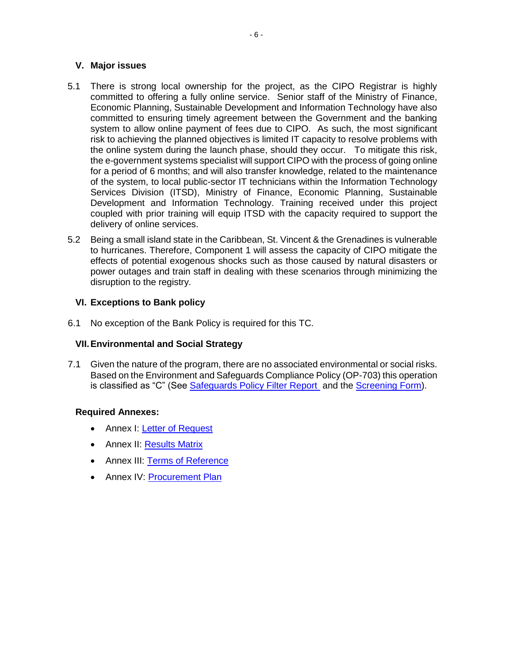# **V. Major issues**

- 5.1 There is strong local ownership for the project, as the CIPO Registrar is highly committed to offering a fully online service. Senior staff of the Ministry of Finance, Economic Planning, Sustainable Development and Information Technology have also committed to ensuring timely agreement between the Government and the banking system to allow online payment of fees due to CIPO. As such, the most significant risk to achieving the planned objectives is limited IT capacity to resolve problems with the online system during the launch phase, should they occur. To mitigate this risk, the e-government systems specialist will support CIPO with the process of going online for a period of 6 months; and will also transfer knowledge, related to the maintenance of the system, to local public-sector IT technicians within the Information Technology Services Division (ITSD), Ministry of Finance, Economic Planning, Sustainable Development and Information Technology. Training received under this project coupled with prior training will equip ITSD with the capacity required to support the delivery of online services.
- 5.2 Being a small island state in the Caribbean, St. Vincent & the Grenadines is vulnerable to hurricanes. Therefore, Component 1 will assess the capacity of CIPO mitigate the effects of potential exogenous shocks such as those caused by natural disasters or power outages and train staff in dealing with these scenarios through minimizing the disruption to the registry.

# **VI. Exceptions to Bank policy**

6.1 No exception of the Bank Policy is required for this TC.

# **VII.Environmental and Social Strategy**

7.1 Given the nature of the program, there are no associated environmental or social risks. Based on the Environment and Safeguards Compliance Policy (OP-703) this operation is classified as "C" (See [Safeguards Policy Filter Report](https://idbg.sharepoint.com/teams/EZ-RG-TCP/RG-T3270/50%20Environmental%20and%20Social/RG-T3270_SPF_20180529_1613.pdf) and the [Screening Form\)](https://idbg.sharepoint.com/teams/EZ-RG-TCP/RG-T3270/50%20Environmental%20and%20Social/RG-T3270_SSF_20180529_1613.pdf).

# **Required Annexes:**

- Annex I: [Letter of Request](https://idbg.sharepoint.com/teams/EZ-RG-TCP/RG-T3270/15%20LifeCycle%20Milestones/Annex%20I%20RG-T3270%20Letter%20of%20Request%20and%20Commitment%20of%20counterpart%20funds.pdf)
- Annex II: [Results Matrix](https://idbg.sharepoint.com/teams/EZ-RG-TCP/RG-T3270/15%20LifeCycle%20Milestones/Annex%20II%20Results%20Matrix%20RG-T3270%20Post%20QRR.xlsx?d=wdf63c24536d641aeb92d23bb60275e3f)
- Annex III: [Terms of Reference](https://idbg.sharepoint.com/teams/EZ-RG-TCP/RG-T3270/15%20LifeCycle%20Milestones/Annex%20III%20TDRs%20RG-T3270.docx?d=wf397523fd4d843ccbe57ec2691f571e6)
- Annex IV: [Procurement Plan](https://idbg.sharepoint.com/teams/EZ-RG-TCP/RG-T3270/15%20LifeCycle%20Milestones/Annex%20IV%20RG-T3270%20Procurement%20Plan%20Post%20QRR_.xlsx?d=w68e424f766644ae1bac1961b32ac439f)